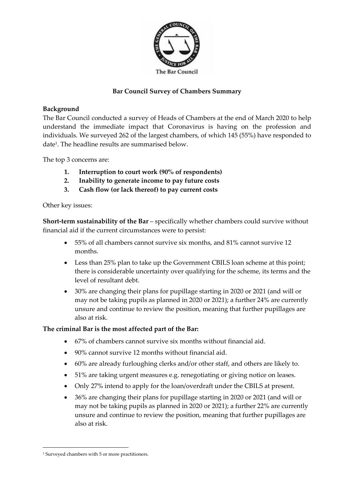

# **Bar Council Survey of Chambers Summary**

## **Background**

The Bar Council conducted a survey of Heads of Chambers at the end of March 2020 to help understand the immediate impact that Coronavirus is having on the profession and individuals. We surveyed 262 of the largest chambers, of which 145 (55%) have responded to date<sup>1</sup>. The headline results are summarised below.

The top 3 concerns are:

- **1. Interruption to court work (90% of respondents)**
- **2. Inability to generate income to pay future costs**
- **3. Cash flow (or lack thereof) to pay current costs**

### Other key issues:

**Short-term sustainability of the Bar** – specifically whether chambers could survive without financial aid if the current circumstances were to persist:

- 55% of all chambers cannot survive six months, and 81% cannot survive 12 months.
- Less than 25% plan to take up the Government CBILS loan scheme at this point; there is considerable uncertainty over qualifying for the scheme, its terms and the level of resultant debt.
- 30% are changing their plans for pupillage starting in 2020 or 2021 (and will or may not be taking pupils as planned in 2020 or 2021); a further 24% are currently unsure and continue to review the position, meaning that further pupillages are also at risk.

## **The criminal Bar is the most affected part of the Bar:**

- 67% of chambers cannot survive six months without financial aid.
- 90% cannot survive 12 months without financial aid.
- 60% are already furloughing clerks and/or other staff, and others are likely to.
- 51% are taking urgent measures e.g. renegotiating or giving notice on leases.
- Only 27% intend to apply for the loan/overdraft under the CBILS at present.
- 36% are changing their plans for pupillage starting in 2020 or 2021 (and will or may not be taking pupils as planned in 2020 or 2021); a further 22% are currently unsure and continue to review the position, meaning that further pupillages are also at risk.

<sup>1</sup> Surveyed chambers with 5 or more practitioners.